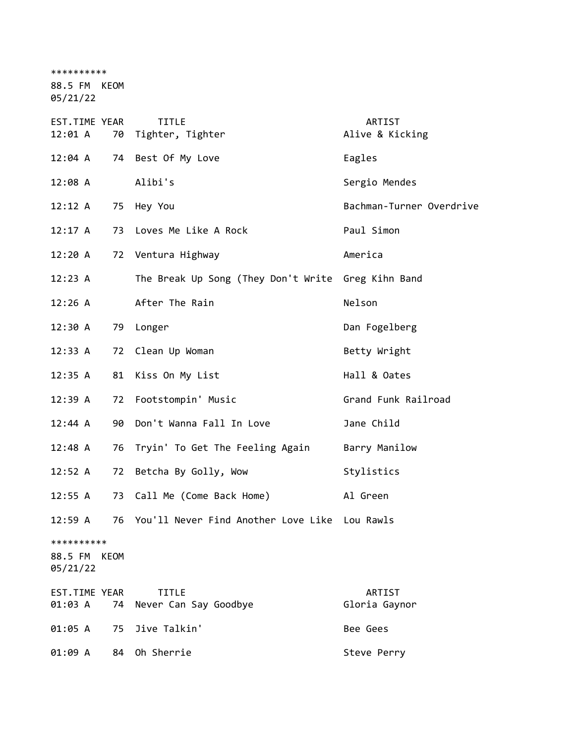\*\*\*\*\*\*\*\*\*\*

88.5 FM KEOM

05/21/22

| EST.TIME YEAR<br>12:01 A          |      | <b>TITLE</b><br>70 Tighter, Tighter                | ARTIST<br>Alive & Kicking |
|-----------------------------------|------|----------------------------------------------------|---------------------------|
| $12:04 \; A$                      |      | 74 Best Of My Love                                 | Eagles                    |
| 12:08A                            |      | Alibi's                                            | Sergio Mendes             |
| 12:12 A                           |      | 75 Hey You                                         | Bachman-Turner Overdrive  |
| 12:17 A                           | 73   | Loves Me Like A Rock                               | Paul Simon                |
| 12:20 A                           | 72   | Ventura Highway                                    | America                   |
| 12:23 A                           |      | The Break Up Song (They Don't Write Greg Kihn Band |                           |
| 12:26 A                           |      | After The Rain                                     | Nelson                    |
| 12:30 A                           | 79   | Longer                                             | Dan Fogelberg             |
| 12:33 A                           | 72   | Clean Up Woman                                     | Betty Wright              |
| 12:35 A                           | 81   | Kiss On My List                                    | Hall & Oates              |
| 12:39A                            | 72   | Footstompin' Music                                 | Grand Funk Railroad       |
| 12:44 A                           | 90   | Don't Wanna Fall In Love                           | Jane Child                |
| 12:48 A                           | 76   | Tryin' To Get The Feeling Again                    | Barry Manilow             |
| 12:52 A                           | 72   | Betcha By Golly, Wow                               | Stylistics                |
| 12:55A                            | 73   | Call Me (Come Back Home)                           | Al Green                  |
| 12:59A                            | 76   | You'll Never Find Another Love Like Lou Rawls      |                           |
| **********<br>88.5 FM<br>05/21/22 | KEOM |                                                    |                           |
| EST.TIME YEAR<br>01:03 A          | 74   | <b>TITLE</b><br>Never Can Say Goodbye              | ARTIST<br>Gloria Gaynor   |
| 01:05 A                           | 75   | Jive Talkin'                                       | Bee Gees                  |
| 01:09 A                           | 84   | Oh Sherrie                                         | Steve Perry               |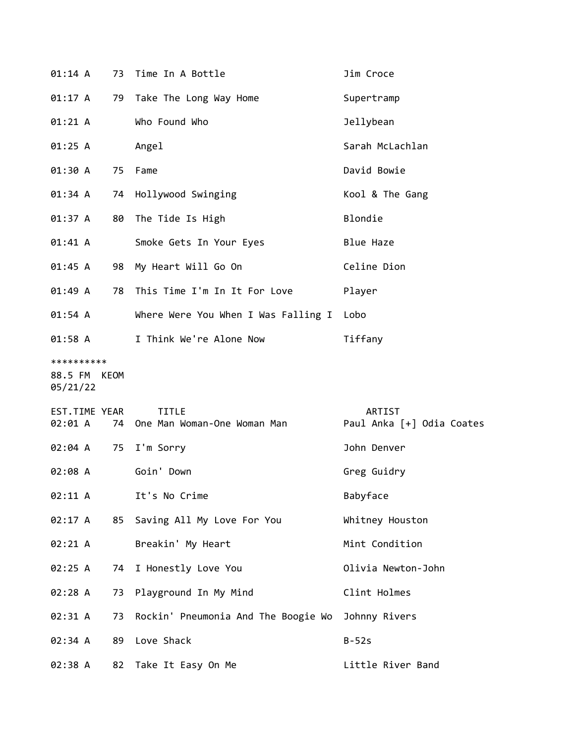| 01:14 A                                |    | 73 Time In A Bottle                            | Jim Croce                           |
|----------------------------------------|----|------------------------------------------------|-------------------------------------|
| 01:17 A                                | 79 | Take The Long Way Home                         | Supertramp                          |
| 01:21 A                                |    | Who Found Who                                  | Jellybean                           |
| 01:25 A                                |    | Angel                                          | Sarah McLachlan                     |
| 01:30 A                                | 75 | Fame                                           | David Bowie                         |
| 01:34 A                                | 74 | Hollywood Swinging                             | Kool & The Gang                     |
| 01:37 A                                | 80 | The Tide Is High                               | Blondie                             |
| 01:41 A                                |    | Smoke Gets In Your Eyes                        | <b>Blue Haze</b>                    |
| 01:45 A                                | 98 | My Heart Will Go On                            | Celine Dion                         |
| 01:49 A                                | 78 | This Time I'm In It For Love                   | Player                              |
| 01:54 A                                |    | Where Were You When I Was Falling I            | Lobo                                |
| 01:58 A                                |    | I Think We're Alone Now                        | Tiffany                             |
| **********<br>88.5 FM KEOM<br>05/21/22 |    |                                                |                                     |
| EST.TIME YEAR                          |    |                                                |                                     |
| 02:01 A                                |    | <b>TITLE</b><br>74 One Man Woman-One Woman Man | ARTIST<br>Paul Anka [+] Odia Coates |
| 02:04 A                                | 75 | I'm Sorry                                      | John Denver                         |
| 02:08 A                                |    | Goin' Down                                     | Greg Guidry                         |
| 02:11 A                                |    | It's No Crime                                  | Babyface                            |
| 02:17 A                                | 85 | Saving All My Love For You                     | Whitney Houston                     |
| 02:21 A                                |    | Breakin' My Heart                              | Mint Condition                      |
| 02:25 A                                | 74 | I Honestly Love You                            | Olivia Newton-John                  |
| 02:28 A                                | 73 | Playground In My Mind                          | Clint Holmes                        |
| 02:31 A                                | 73 | Rockin' Pneumonia And The Boogie Wo            | Johnny Rivers                       |
| 02:34 A                                | 89 | Love Shack                                     | $B-52s$                             |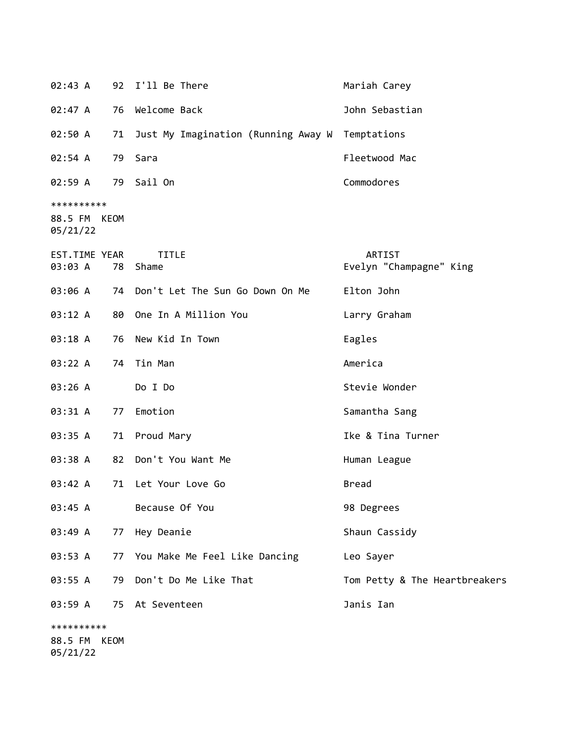| 02:43 A                                |      | 92 I'll Be There                    | Mariah Carey                      |
|----------------------------------------|------|-------------------------------------|-----------------------------------|
| 02:47 A                                | 76   | Welcome Back                        | John Sebastian                    |
| 02:50 A                                | 71   | Just My Imagination (Running Away W | Temptations                       |
| 02:54 A                                | 79   | Sara                                | Fleetwood Mac                     |
| 02:59 A                                |      | 79 Sail On                          | Commodores                        |
| **********<br>88.5 FM KEOM<br>05/21/22 |      |                                     |                                   |
| EST.TIME YEAR<br>03:03 A               | 78   | <b>TITLE</b><br>Shame               | ARTIST<br>Evelyn "Champagne" King |
| 03:06 A                                |      | 74 Don't Let The Sun Go Down On Me  | Elton John                        |
| 03:12 A                                |      | 80 One In A Million You             | Larry Graham                      |
| 03:18 A                                | 76   | New Kid In Town                     | Eagles                            |
| 03:22 A                                | 74   | Tin Man                             | America                           |
| 03:26 A                                |      | Do I Do                             | Stevie Wonder                     |
| 03:31 A                                | 77   | Emotion                             | Samantha Sang                     |
| 03:35 A                                |      | 71 Proud Mary                       | Ike & Tina Turner                 |
| 03:38 A                                | 82   | Don't You Want Me                   | Human League                      |
| 03:42 A                                | 71   | Let Your Love Go                    | <b>Bread</b>                      |
| 03:45 A                                |      | Because Of You                      | 98 Degrees                        |
| 03:49 A                                | 77   | Hey Deanie                          | Shaun Cassidy                     |
| 03:53 A                                |      | 77 You Make Me Feel Like Dancing    | Leo Sayer                         |
| 03:55 A                                |      | 79 Don't Do Me Like That            | Tom Petty & The Heartbreakers     |
| 03:59 A                                |      | 75 At Seventeen                     | Janis Ian                         |
| **********                             |      |                                     |                                   |
| 88.5 FM                                | KEOM |                                     |                                   |

05/21/22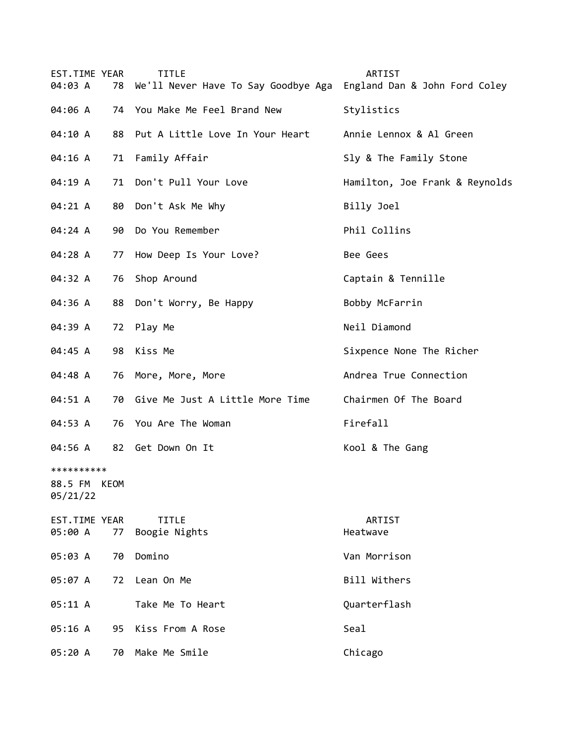| EST.TIME YEAR<br>04:03 A                  | <b>TITLE</b><br>78<br>We'll Never Have To Say Goodbye Aga England Dan & John Ford Coley | ARTIST                         |
|-------------------------------------------|-----------------------------------------------------------------------------------------|--------------------------------|
| 04:06 A                                   | 74 You Make Me Feel Brand New                                                           | Stylistics                     |
| 04:10 A                                   | 88 Put A Little Love In Your Heart                                                      | Annie Lennox & Al Green        |
| 04:16 A                                   | Family Affair<br>71                                                                     | Sly & The Family Stone         |
| 04:19 A                                   | Don't Pull Your Love<br>71                                                              | Hamilton, Joe Frank & Reynolds |
| 04:21 A                                   | 80 Don't Ask Me Why                                                                     | Billy Joel                     |
| 04:24 A<br>90                             | Do You Remember                                                                         | Phil Collins                   |
| 04:28 A                                   | How Deep Is Your Love?<br>77                                                            | Bee Gees                       |
| 04:32 A                                   | 76 Shop Around                                                                          | Captain & Tennille             |
| 04:36 A                                   | 88 Don't Worry, Be Happy                                                                | Bobby McFarrin                 |
| 04:39 A                                   | 72 Play Me                                                                              | Neil Diamond                   |
| 04:45 A<br>98                             | Kiss Me                                                                                 | Sixpence None The Richer       |
| 04:48 A<br>76                             | More, More, More                                                                        | Andrea True Connection         |
| 04:51 A                                   | 70 Give Me Just A Little More Time                                                      | Chairmen Of The Board          |
| 04:53 A                                   | 76 You Are The Woman                                                                    | Firefall                       |
| 04:56 A                                   | 82 Get Down On It                                                                       | Kool & The Gang                |
| **********<br>KEOM<br>88.5 FM<br>05/21/22 |                                                                                         |                                |
| EST.TIME YEAR<br>05:00 A<br>77            | <b>TITLE</b><br>Boogie Nights                                                           | ARTIST<br>Heatwave             |
| 05:03 A<br>70                             | Domino                                                                                  | Van Morrison                   |
| 05:07 A<br>72                             | Lean On Me                                                                              | Bill Withers                   |
| 05:11 A                                   | Take Me To Heart                                                                        | Quarterflash                   |
| 05:16 A                                   | Kiss From A Rose<br>95                                                                  | Seal                           |
| 05:20 A                                   | Make Me Smile<br>70                                                                     | Chicago                        |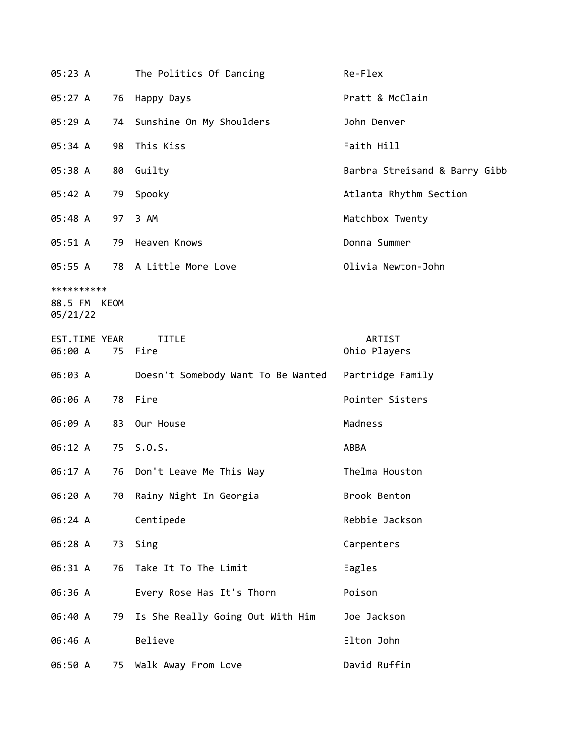| 05:23 A                                |    | The Politics Of Dancing            | Re-Flex                       |
|----------------------------------------|----|------------------------------------|-------------------------------|
| 05:27 A                                |    | 76 Happy Days                      | Pratt & McClain               |
| 05:29 A                                |    | 74 Sunshine On My Shoulders        | John Denver                   |
| 05:34 A                                | 98 | This Kiss                          | Faith Hill                    |
| 05:38 A                                | 80 | Guilty                             | Barbra Streisand & Barry Gibb |
| 05:42 A                                | 79 | Spooky                             | Atlanta Rhythm Section        |
| 05:48 A                                |    | 97 3 AM                            | Matchbox Twenty               |
| 05:51 A                                |    | 79 Heaven Knows                    | Donna Summer                  |
| 05:55 A                                |    | 78 A Little More Love              | Olivia Newton-John            |
| **********<br>88.5 FM KEOM<br>05/21/22 |    |                                    |                               |
| EST.TIME YEAR<br>06:00 A               | 75 | <b>TITLE</b><br>Fire               | ARTIST<br>Ohio Players        |
| 06:03 A                                |    | Doesn't Somebody Want To Be Wanted | Partridge Family              |
| 06:06 A                                |    | 78 Fire                            | Pointer Sisters               |
| 06:09 A                                |    | 83 Our House                       | Madness                       |
| 06:12 A                                |    | 75 S.O.S.                          | ABBA                          |
| 06:17 A                                | 76 | Don't Leave Me This Way            | Thelma Houston                |
| 06:20 A                                |    | 70 Rainy Night In Georgia          | Brook Benton                  |
| 06:24 A                                |    | Centipede                          | Rebbie Jackson                |
| 06:28 A                                |    | 73 Sing                            | Carpenters                    |
| 06:31 A                                | 76 | Take It To The Limit               | Eagles                        |
| 06:36 A                                |    | Every Rose Has It's Thorn          | Poison                        |
| 06:40 A                                | 79 | Is She Really Going Out With Him   | Joe Jackson                   |
| 06:46 A                                |    | Believe                            | Elton John                    |
| 06:50 A                                |    | 75 Walk Away From Love             | David Ruffin                  |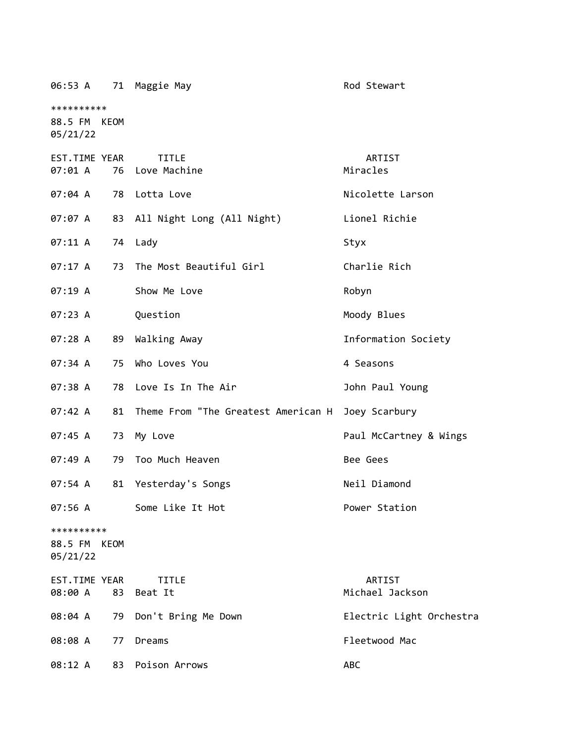| 06:53 A                                | 71 | Maggie May                          | Rod Stewart               |
|----------------------------------------|----|-------------------------------------|---------------------------|
| **********<br>88.5 FM KEOM<br>05/21/22 |    |                                     |                           |
| EST.TIME YEAR<br>07:01 A               | 76 | <b>TITLE</b><br>Love Machine        | ARTIST<br>Miracles        |
| 07:04 A                                | 78 | Lotta Love                          | Nicolette Larson          |
| 07:07 A                                | 83 | All Night Long (All Night)          | Lionel Richie             |
| 07:11 A                                | 74 | Lady                                | Styx                      |
| 07:17 A                                | 73 | The Most Beautiful Girl             | Charlie Rich              |
| 07:19A                                 |    | Show Me Love                        | Robyn                     |
| 07:23 A                                |    | Question                            | Moody Blues               |
| 07:28 A                                | 89 | Walking Away                        | Information Society       |
| 07:34 A                                | 75 | Who Loves You                       | 4 Seasons                 |
| 07:38 A                                | 78 | Love Is In The Air                  | John Paul Young           |
| 07:42 A                                | 81 | Theme From "The Greatest American H | Joey Scarbury             |
| 07:45 A                                | 73 | My Love                             | Paul McCartney & Wings    |
| 07:49 A                                | 79 | Too Much Heaven                     | Bee Gees                  |
| 07:54 A                                | 81 | Yesterday's Songs                   | Neil Diamond              |
| 07:56 A                                |    | Some Like It Hot                    | Power Station             |
| **********<br>88.5 FM KEOM<br>05/21/22 |    |                                     |                           |
| EST.TIME YEAR<br>08:00 A               | 83 | TITLE<br>Beat It                    | ARTIST<br>Michael Jackson |
| 08:04 A                                | 79 | Don't Bring Me Down                 | Electric Light Orchestra  |
| 08:08 A                                | 77 | Dreams                              | Fleetwood Mac             |
| 08:12 A                                | 83 | Poison Arrows                       | ABC                       |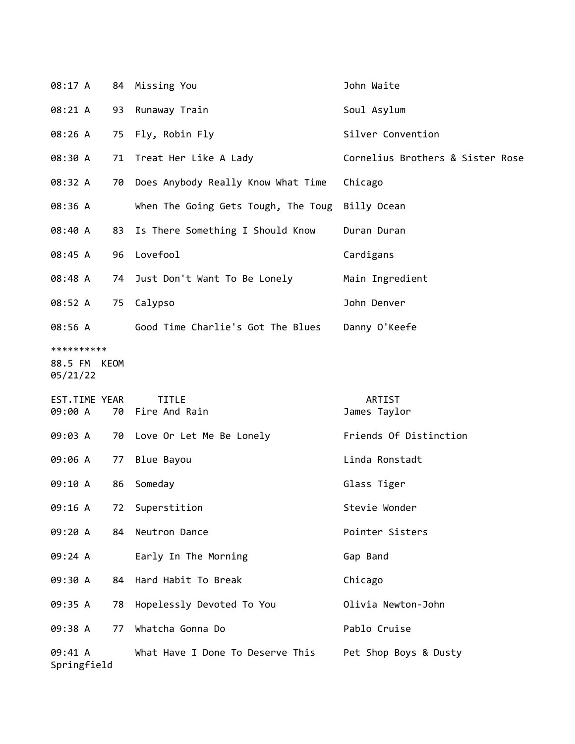| 08:17 A                                |    | 84 Missing You                                  | John Waite                       |
|----------------------------------------|----|-------------------------------------------------|----------------------------------|
| 08:21 A                                | 93 | Runaway Train                                   | Soul Asylum                      |
| 08:26 A                                | 75 | Fly, Robin Fly                                  | Silver Convention                |
| 08:30 A                                |    | 71 Treat Her Like A Lady                        | Cornelius Brothers & Sister Rose |
| 08:32 A                                |    | 70 Does Anybody Really Know What Time           | Chicago                          |
| 08:36 A                                |    | When The Going Gets Tough, The Toug Billy Ocean |                                  |
| 08:40 A                                | 83 | Is There Something I Should Know                | Duran Duran                      |
| 08:45 A                                |    | 96 Lovefool                                     | Cardigans                        |
| 08:48 A                                | 74 | Just Don't Want To Be Lonely                    | Main Ingredient                  |
| 08:52 A                                | 75 | Calypso                                         | John Denver                      |
| 08:56 A                                |    | Good Time Charlie's Got The Blues               | Danny O'Keefe                    |
| **********<br>88.5 FM KEOM<br>05/21/22 |    |                                                 |                                  |
| EST.TIME YEAR<br>09:00 A               |    | <b>TITLE</b><br>70 Fire And Rain                | ARTIST<br>James Taylor           |
| 09:03 A                                |    | 70 Love Or Let Me Be Lonely                     | Friends Of Distinction           |
| 09:06 A                                | 77 | Blue Bayou                                      | Linda Ronstadt                   |
| 09:10 A                                | 86 | Someday                                         | Glass Tiger                      |
| 09:16 A                                | 72 | Superstition                                    | Stevie Wonder                    |
| 09:20 A                                | 84 | Neutron Dance                                   | Pointer Sisters                  |
| 09:24 A                                |    | Early In The Morning                            | Gap Band                         |
| 09:30 A                                | 84 | Hard Habit To Break                             | Chicago                          |
| 09:35 A                                | 78 | Hopelessly Devoted To You                       | Olivia Newton-John               |
| 09:38 A                                | 77 | Whatcha Gonna Do                                | Pablo Cruise                     |
| 09:41 A<br>Springfield                 |    | What Have I Done To Deserve This                | Pet Shop Boys & Dusty            |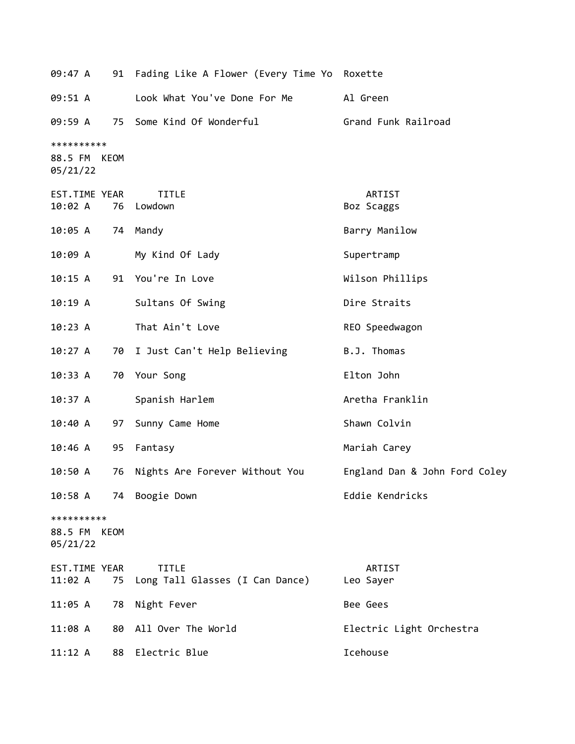| 09:47 A                                |    | 91 Fading Like A Flower (Every Time Yo Roxette  |                               |
|----------------------------------------|----|-------------------------------------------------|-------------------------------|
| 09:51 A                                |    | Look What You've Done For Me                    | Al Green                      |
| 09:59 A                                |    | 75 Some Kind Of Wonderful                       | Grand Funk Railroad           |
| **********<br>88.5 FM KEOM<br>05/21/22 |    |                                                 |                               |
| EST.TIME YEAR<br>10:02 A               |    | <b>TITLE</b><br>76 Lowdown                      | ARTIST<br>Boz Scaggs          |
| 10:05 A                                |    | 74 Mandy                                        | Barry Manilow                 |
| 10:09 A                                |    | My Kind Of Lady                                 | Supertramp                    |
| 10:15 A                                |    | 91 You're In Love                               | Wilson Phillips               |
| 10:19A                                 |    | Sultans Of Swing                                | Dire Straits                  |
| 10:23 A                                |    | That Ain't Love                                 | REO Speedwagon                |
| 10:27 A                                |    | 70 I Just Can't Help Believing                  | B.J. Thomas                   |
| 10:33 A                                |    | 70 Your Song                                    | Elton John                    |
| 10:37 A                                |    | Spanish Harlem                                  | Aretha Franklin               |
| 10:40 A                                | 97 | Sunny Came Home                                 | Shawn Colvin                  |
| 10:46 A                                | 95 | Fantasy                                         | Mariah Carey                  |
| 10:50 A                                | 76 | Nights Are Forever Without You                  | England Dan & John Ford Coley |
| 10:58A                                 |    | 74 Boogie Down                                  | Eddie Kendricks               |
| **********<br>88.5 FM KEOM<br>05/21/22 |    |                                                 |                               |
| EST.TIME YEAR<br>11:02 A               | 75 | <b>TITLE</b><br>Long Tall Glasses (I Can Dance) | ARTIST<br>Leo Sayer           |
| 11:05 A                                | 78 | Night Fever                                     | Bee Gees                      |
| $11:08$ A                              | 80 | All Over The World                              | Electric Light Orchestra      |
| 11:12 A                                | 88 | Electric Blue                                   | Icehouse                      |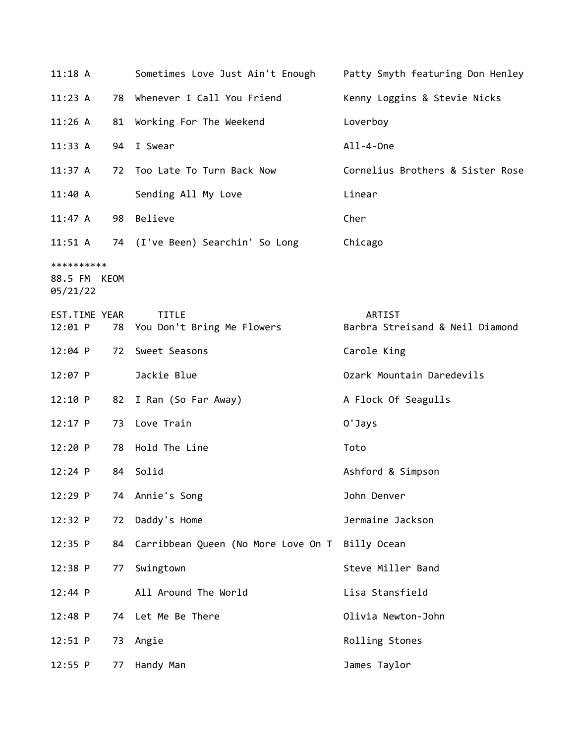| 11:18A                                 |    | Sometimes Love Just Ain't Enough                   | Patty Smyth featuring Don Henley          |
|----------------------------------------|----|----------------------------------------------------|-------------------------------------------|
| 11:23 A                                | 78 | Whenever I Call You Friend                         | Kenny Loggins & Stevie Nicks              |
| 11:26 A                                |    | 81 Working For The Weekend                         | Loverboy                                  |
| 11:33 A                                | 94 | I Swear                                            | All-4-0ne                                 |
| 11:37 A                                | 72 | Too Late To Turn Back Now                          | Cornelius Brothers & Sister Rose          |
| 11:40 A                                |    | Sending All My Love                                | Linear                                    |
| 11:47 A                                |    | 98 Believe                                         | Cher                                      |
| $11:51 \; A$                           |    | 74 (I've Been) Searchin' So Long                   | Chicago                                   |
| **********<br>88.5 FM KEOM<br>05/21/22 |    |                                                    |                                           |
| EST.TIME YEAR<br>12:01 P               |    | <b>TITLE</b><br>78 You Don't Bring Me Flowers      | ARTIST<br>Barbra Streisand & Neil Diamond |
| $12:04$ P                              | 72 | Sweet Seasons                                      | Carole King                               |
| 12:07 P                                |    | Jackie Blue                                        | Ozark Mountain Daredevils                 |
| 12:10 P                                | 82 | I Ran (So Far Away)                                | A Flock Of Seagulls                       |
| $12:17$ P                              | 73 | Love Train                                         | 0'Jays                                    |
| 12:20 P                                | 78 | Hold The Line                                      | Toto                                      |
| $12:24$ P                              | 84 | Solid                                              | Ashford & Simpson                         |
| 12:29 P                                |    | 74 Annie's Song                                    | John Denver                               |
| 12:32 P                                | 72 | Daddy's Home                                       | Jermaine Jackson                          |
| 12:35 P                                |    | 84 Carribbean Queen (No More Love On T Billy Ocean |                                           |
| 12:38 P                                | 77 | Swingtown                                          | Steve Miller Band                         |
| 12:44 P                                |    | All Around The World                               | Lisa Stansfield                           |
| 12:48 P                                | 74 | Let Me Be There                                    | Olivia Newton-John                        |
| $12:51$ P                              | 73 | Angie                                              | Rolling Stones                            |
| $12:55$ P                              | 77 | Handy Man                                          | James Taylor                              |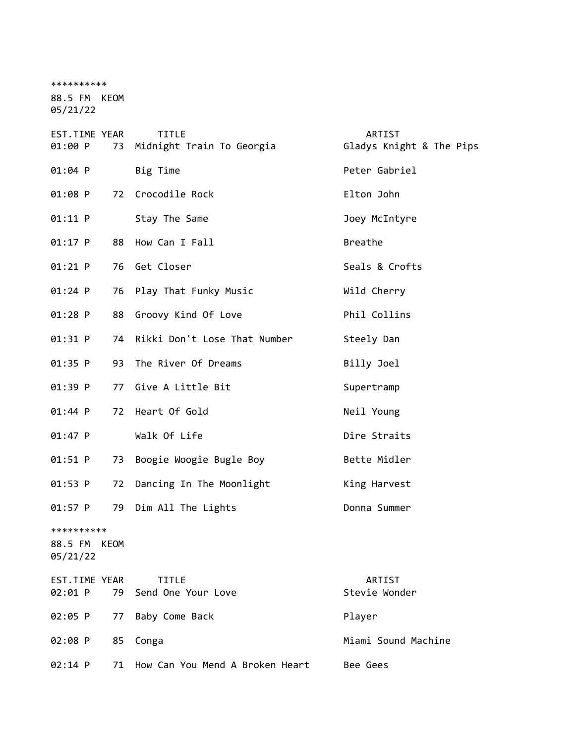| **********<br>88.5 FM KEOM<br>05/21/22 |      |                                           |                                    |
|----------------------------------------|------|-------------------------------------------|------------------------------------|
| EST.TIME YEAR<br>01:00 P               | 73   | <b>TITLE</b><br>Midnight Train To Georgia | ARTIST<br>Gladys Knight & The Pips |
| 01:04 P                                |      | Big Time                                  | Peter Gabriel                      |
| 01:08 P                                |      | 72 Crocodile Rock                         | Elton John                         |
| $01:11$ P                              |      | Stay The Same                             | Joey McIntyre                      |
| $01:17$ P                              | 88   | How Can I Fall                            | <b>Breathe</b>                     |
| 01:21 P                                | 76   | Get Closer                                | Seals & Crofts                     |
| $01:24$ P                              | 76   | Play That Funky Music                     | Wild Cherry                        |
| $01:28$ P                              | 88   | Groovy Kind Of Love                       | Phil Collins                       |
| 01:31 P                                | 74   | Rikki Don't Lose That Number              | Steely Dan                         |
| 01:35 P                                | 93   | The River Of Dreams                       | Billy Joel                         |
| 01:39 P                                | 77   | Give A Little Bit                         | Supertramp                         |
| 01:44 P                                | 72   | Heart Of Gold                             | Neil Young                         |
| $01:47$ P                              |      | Walk Of Life                              | Dire Straits                       |
| $01:51$ P                              | 73   | Boogie Woogie Bugle Boy                   | Bette Midler                       |
| 01:53 P                                | 72   | Dancing In The Moonlight                  | King Harvest                       |
| 01:57 P                                | 79   | Dim All The Lights                        | Donna Summer                       |
| **********<br>88.5 FM<br>05/21/22      | KEOM |                                           |                                    |
| EST.TIME YEAR<br>02:01 P               | 79   | <b>TITLE</b><br>Send One Your Love        | ARTIST<br>Stevie Wonder            |
| 02:05 P                                | 77   | Baby Come Back                            | Player                             |
| 02:08 P                                | 85   | Conga                                     | Miami Sound Machine                |
| 02:14 P                                | 71   | How Can You Mend A Broken Heart           | Bee Gees                           |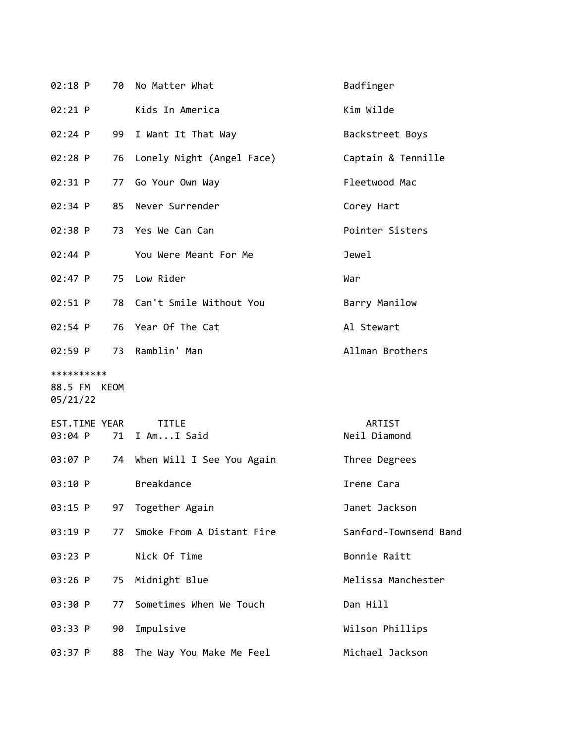| 02:18 P                                |    | 70 No Matter What            | Badfinger              |
|----------------------------------------|----|------------------------------|------------------------|
| 02:21 P                                |    | Kids In America              | Kim Wilde              |
| 02:24 P                                | 99 | I Want It That Way           | Backstreet Boys        |
| $02:28$ P                              | 76 | Lonely Night (Angel Face)    | Captain & Tennille     |
| 02:31 P                                |    | 77 Go Your Own Way           | Fleetwood Mac          |
| 02:34 P                                |    | 85 Never Surrender           | Corey Hart             |
| 02:38 P                                |    | 73 Yes We Can Can            | Pointer Sisters        |
| 02:44 P                                |    | You Were Meant For Me        | Jewel                  |
| 02:47 P                                |    | 75 Low Rider                 | War                    |
| 02:51 P                                |    | 78 Can't Smile Without You   | Barry Manilow          |
| 02:54 P                                |    | 76 Year Of The Cat           | Al Stewart             |
| 02:59 P                                |    | 73 Ramblin' Man              | Allman Brothers        |
| **********<br>88.5 FM KEOM<br>05/21/22 |    |                              |                        |
| EST.TIME YEAR<br>03:04 P               | 71 | TITLE<br>I AmI Said          | ARTIST<br>Neil Diamond |
| 03:07 P                                |    | 74 When Will I See You Again | Three Degrees          |
| 03:10 P                                |    | <b>Breakdance</b>            | Irene Cara             |
| 03:15 P                                | 97 | Together Again               | Janet Jackson          |
| 03:19 P                                | 77 | Smoke From A Distant Fire    | Sanford-Townsend Band  |
| 03:23 P                                |    | Nick Of Time                 | Bonnie Raitt           |
| 03:26 P                                | 75 | Midnight Blue                | Melissa Manchester     |
| 03:30 P                                | 77 | Sometimes When We Touch      | Dan Hill               |
| 03:33 P                                | 90 | Impulsive                    | Wilson Phillips        |
| 03:37 P                                | 88 | The Way You Make Me Feel     | Michael Jackson        |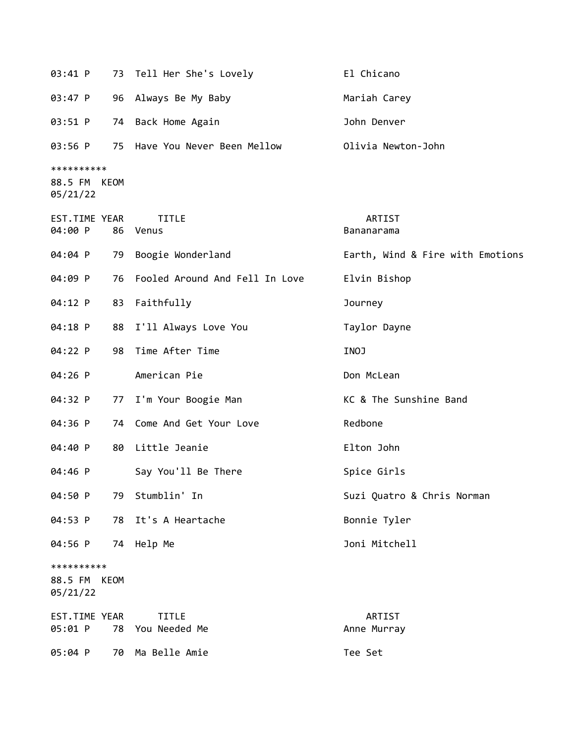| 03:41 P                                |      | 73 Tell Her She's Lovely         | El Chicano                       |
|----------------------------------------|------|----------------------------------|----------------------------------|
| 03:47 P                                |      | 96 Always Be My Baby             | Mariah Carey                     |
| 03:51 P                                |      | 74 Back Home Again               | John Denver                      |
| 03:56 P                                |      | 75 Have You Never Been Mellow    | Olivia Newton-John               |
| **********<br>88.5 FM<br>05/21/22      | KEOM |                                  |                                  |
| EST.TIME YEAR<br>04:00 P               |      | <b>TITLE</b><br>86 Venus         | ARTIST<br>Bananarama             |
| 04:04 P                                | 79   | Boogie Wonderland                | Earth, Wind & Fire with Emotions |
| 04:09 P                                | 76   | Fooled Around And Fell In Love   | Elvin Bishop                     |
| 04:12 P                                |      | 83 Faithfully                    | Journey                          |
| 04:18 P                                |      | 88 I'll Always Love You          | Taylor Dayne                     |
| 04:22 P                                | 98   | Time After Time                  | INOJ                             |
| 04:26 P                                |      | American Pie                     | Don McLean                       |
| 04:32 P                                | 77   | I'm Your Boogie Man              | KC & The Sunshine Band           |
| 04:36 P                                |      | 74 Come And Get Your Love        | Redbone                          |
| 04:40 P                                | 80   | Little Jeanie                    | Elton John                       |
| 04:46 P                                |      | Say You'll Be There              | Spice Girls                      |
| 04:50 P                                |      | 79 Stumblin' In                  | Suzi Quatro & Chris Norman       |
| 04:53 P                                |      | 78 It's A Heartache              | Bonnie Tyler                     |
| 04:56 P                                |      | 74 Help Me                       | Joni Mitchell                    |
| **********<br>88.5 FM KEOM<br>05/21/22 |      |                                  |                                  |
| EST.TIME YEAR<br>05:01 P               |      | <b>TITLE</b><br>78 You Needed Me | ARTIST<br>Anne Murray            |
| 05:04 P                                |      | 70 Ma Belle Amie                 | Tee Set                          |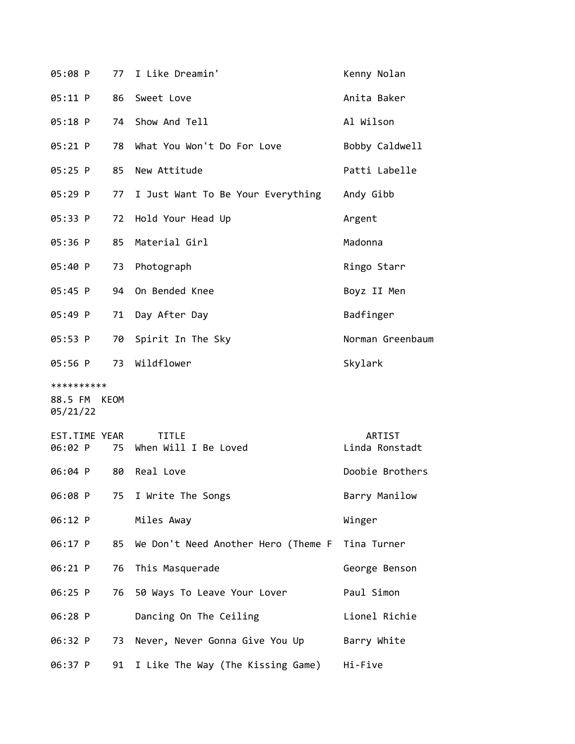| 05:08 P                  | 77 | I Like Dreamin'                      | Kenny Nolan              |
|--------------------------|----|--------------------------------------|--------------------------|
| 05:11 P                  | 86 | Sweet Love                           | Anita Baker              |
| $05:18$ P                | 74 | Show And Tell                        | Al Wilson                |
| 05:21 P                  | 78 | What You Won't Do For Love           | Bobby Caldwell           |
| 05:25 P                  | 85 | New Attitude                         | Patti Labelle            |
| 05:29 P                  | 77 | I Just Want To Be Your Everything    | Andy Gibb                |
| 05:33 P                  | 72 | Hold Your Head Up                    | Argent                   |
| 05:36 P                  | 85 | Material Girl                        | Madonna                  |
| 05:40 P                  | 73 | Photograph                           | Ringo Starr              |
| 05:45 P                  | 94 | On Bended Knee                       | Boyz II Men              |
| 05:49 P                  | 71 | Day After Day                        | Badfinger                |
| 05:53 P                  | 70 | Spirit In The Sky                    | Norman Greenbaum         |
| 05:56 P                  | 73 | Wildflower                           | Skylark                  |
| **********               |    |                                      |                          |
| 88.5 FM KEOM<br>05/21/22 |    |                                      |                          |
| EST.TIME YEAR            |    | <b>TITLE</b><br>When Will I Be Loved | ARTIST<br>Linda Ronstadt |
| 06:02 P                  | 75 |                                      |                          |
| 06:04 P                  | 80 | Real Love                            | Doobie Brothers          |
| 06:08 P                  |    | 75 I Write The Songs                 | Barry Manilow            |
| 06:12 P                  |    | Miles Away                           | Winger                   |
| 06:17 P                  | 85 | We Don't Need Another Hero (Theme F  | Tina Turner              |
| 06:21 P                  | 76 | This Masquerade                      | George Benson            |
| 06:25 P                  | 76 | 50 Ways To Leave Your Lover          | Paul Simon               |
| 06:28 P                  |    | Dancing On The Ceiling               | Lionel Richie            |
| 06:32 P                  | 73 | Never, Never Gonna Give You Up       | Barry White              |
| 06:37 P                  |    | 91 I Like The Way (The Kissing Game) | Hi-Five                  |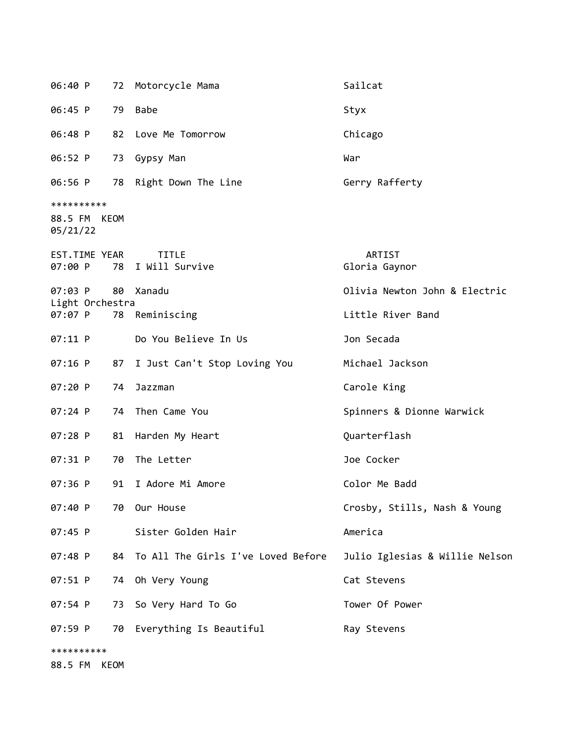| 06:40 P                                |    | 72 Motorcycle Mama                    | Sailcat                        |
|----------------------------------------|----|---------------------------------------|--------------------------------|
| 06:45 P                                | 79 | <b>Babe</b>                           | Styx                           |
| 06:48 P                                |    | 82 Love Me Tomorrow                   | Chicago                        |
| 06:52 P                                | 73 | Gypsy Man                             | War                            |
| 06:56 P                                |    | 78 Right Down The Line                | Gerry Rafferty                 |
| **********<br>88.5 FM KEOM<br>05/21/22 |    |                                       |                                |
| EST.TIME YEAR<br>07:00 P               | 78 | <b>TITLE</b><br>I Will Survive        | ARTIST<br>Gloria Gaynor        |
| 07:03 P<br>Light Orchestra             | 80 | Xanadu                                | Olivia Newton John & Electric  |
| 07:07 P                                |    | 78 Reminiscing                        | Little River Band              |
| 07:11 P                                |    | Do You Believe In Us                  | Jon Secada                     |
| $07:16$ P                              | 87 | I Just Can't Stop Loving You          | Michael Jackson                |
| 07:20 P                                | 74 | Jazzman                               | Carole King                    |
| $07:24$ P                              |    | 74 Then Came You                      | Spinners & Dionne Warwick      |
| 07:28 P                                | 81 | Harden My Heart                       | Quarterflash                   |
| 07:31 P                                | 70 | The Letter                            | Joe Cocker                     |
| 07:36 P                                | 91 | I Adore Mi Amore                      | Color Me Badd                  |
| 07:40 P                                |    | 70 Our House                          | Crosby, Stills, Nash & Young   |
| $07:45$ P                              |    | Sister Golden Hair                    | America                        |
| $07:48$ P                              |    | 84 To All The Girls I've Loved Before | Julio Iglesias & Willie Nelson |
| 07:51 P                                |    | 74 Oh Very Young                      | Cat Stevens                    |
| 07:54 P                                | 73 | So Very Hard To Go                    | Tower Of Power                 |
| 07:59 P                                |    | 70 Everything Is Beautiful            | Ray Stevens                    |
| **********<br>88.5 FM KEOM             |    |                                       |                                |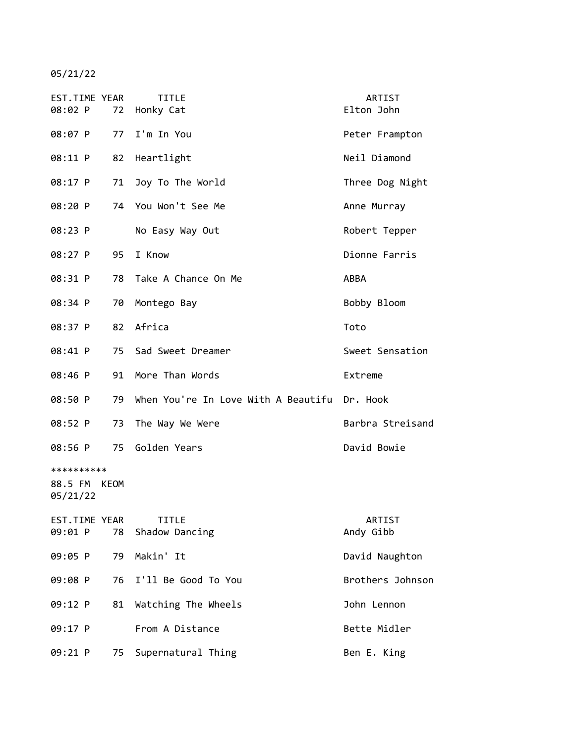05/21/22

| EST.TIME YEAR<br>08:02 P               |    | <b>TITLE</b><br>72 Honky Cat                 | ARTIST<br>Elton John |
|----------------------------------------|----|----------------------------------------------|----------------------|
| 08:07 P                                | 77 | I'm In You                                   | Peter Frampton       |
| 08:11 P                                | 82 | Heartlight                                   | Neil Diamond         |
| 08:17 P                                | 71 | Joy To The World                             | Three Dog Night      |
| 08:20 P                                |    | 74 You Won't See Me                          | Anne Murray          |
| 08:23 P                                |    | No Easy Way Out                              | Robert Tepper        |
| 08:27 P                                | 95 | I Know                                       | Dionne Farris        |
| 08:31 P                                | 78 | Take A Chance On Me                          | ABBA                 |
| 08:34 P                                | 70 | Montego Bay                                  | Bobby Bloom          |
| 08:37 P                                | 82 | Africa                                       | Toto                 |
| 08:41 P                                |    | 75 Sad Sweet Dreamer                         | Sweet Sensation      |
| 08:46 P                                | 91 | More Than Words                              | Extreme              |
| 08:50 P                                | 79 | When You're In Love With A Beautifu Dr. Hook |                      |
| 08:52 P                                | 73 | The Way We Were                              | Barbra Streisand     |
| 08:56 P                                |    | 75 Golden Years                              | David Bowie          |
| **********<br>88.5 FM KEOM<br>05/21/22 |    |                                              |                      |
| EST.TIME YEAR<br>09:01 P               | 78 | <b>TITLE</b><br>Shadow Dancing               | ARTIST<br>Andy Gibb  |
| 09:05 P                                | 79 | Makin' It                                    | David Naughton       |
| 09:08 P                                | 76 | I'll Be Good To You                          | Brothers Johnson     |
| 09:12 P                                | 81 | Watching The Wheels                          | John Lennon          |
| 09:17 P                                |    | From A Distance                              | Bette Midler         |
| 09:21 P                                | 75 | Supernatural Thing                           | Ben E. King          |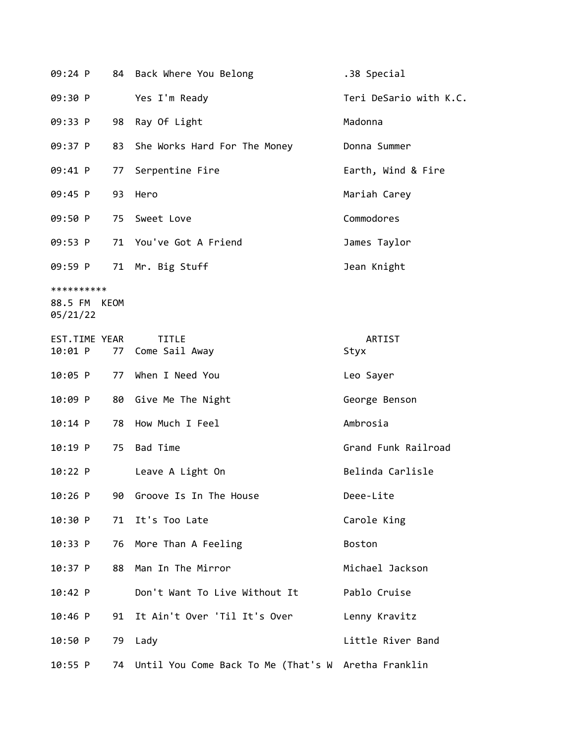| 09:24 P                                |    | 84 Back Where You Belong       | .38 Special            |
|----------------------------------------|----|--------------------------------|------------------------|
| 09:30 P                                |    | Yes I'm Ready                  | Teri DeSario with K.C. |
| 09:33 P                                | 98 | Ray Of Light                   | Madonna                |
| 09:37 P                                | 83 | She Works Hard For The Money   | Donna Summer           |
| 09:41 P                                | 77 | Serpentine Fire                | Earth, Wind & Fire     |
| 09:45 P                                | 93 | Hero                           | Mariah Carey           |
| 09:50 P                                |    | 75 Sweet Love                  | Commodores             |
| 09:53 P                                |    | 71 You've Got A Friend         | James Taylor           |
| 09:59 P                                |    | 71 Mr. Big Stuff               | Jean Knight            |
| **********<br>88.5 FM KEOM<br>05/21/22 |    |                                |                        |
| EST.TIME YEAR<br>10:01 P               | 77 | <b>TITLE</b><br>Come Sail Away | ARTIST<br>Styx         |
| 10:05 P                                | 77 | When I Need You                | Leo Sayer              |
| 10:09 P                                | 80 | Give Me The Night              | George Benson          |
| 10:14 P                                | 78 | How Much I Feel                | Ambrosia               |
| 10:19 P                                | 75 | <b>Bad Time</b>                | Grand Funk Railroad    |
| 10:22 P                                |    | Leave A Light On               | Belinda Carlisle       |
| $10:26$ P                              | 90 | Groove Is In The House         | Deee-Lite              |
| 10:30 P                                | 71 | It's Too Late                  | Carole King            |
| 10:33 P                                | 76 | More Than A Feeling            | <b>Boston</b>          |
| 10:37 P                                | 88 | Man In The Mirror              | Michael Jackson        |

10:42 P Don't Want To Live Without It Pablo Cruise

10:46 P 91 It Ain't Over 'Til It's Over Lenny Kravitz

10:50 P 79 Lady Little River Band

10:55 P 74 Until You Come Back To Me (That's W Aretha Franklin